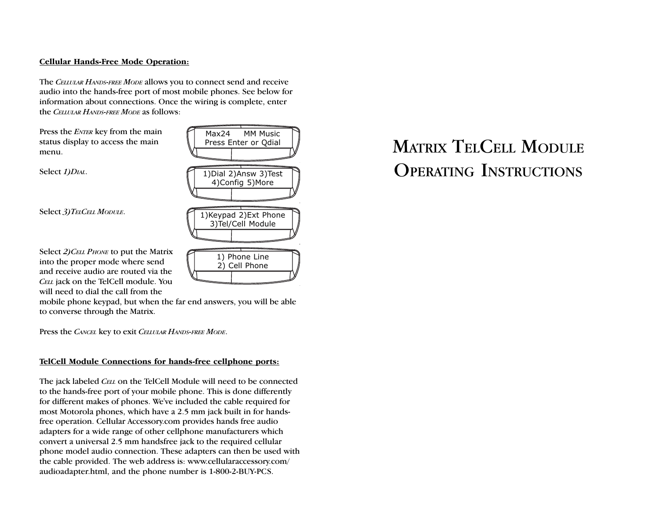## Cellular Hands-Free Mode Operation:

The CELLULAR HANDS-FREE MODE allows you to connect send and receive audio into the hands-free port of most mobile phones. See below for information about connections. Once the wiring is complete, enter the CELLULAR HANDS-FREE MODE as follows:

Press the **ENTER** key from the main status display to access the main menu.

Select 1) DIAL.

Select 3) TELCELL MODULE.



Select 2) CELL PHONE to put the Matrix into the proper mode where send and receive audio are routed via the CELL jack on the TelCell module. You will need to dial the call from the

mobile phone keypad, but when the far end answers, you will be able to converse through the Matrix.

Press the CANCEL key to exit CELLULAR HANDS-FREE MODE.

### TelCell Module Connections for hands-free cellphone ports:

The jack labeled CELL on the TelCell Module will need to be connected to the hands-free port of your mobile phone. This is done differently for different makes of phones. We've included the cable required for most Motorola phones, which have a 2.5 mm jack built in for handsfree operation. Cellular Accessory.com provides hands free audio adapters for a wide range of other cellphone manufacturers which convert a universal 2.5 mm handsfree jack to the required cellular phone model audio connection. These adapters can then be used with the cable provided. The web address is: www.cellularaccessory.com/ audioadapter.html, and the phone number is 1-800-2-BUY-PCS.

# MATRIX TELCELL MODULE OPERATING INSTRUCTIONS